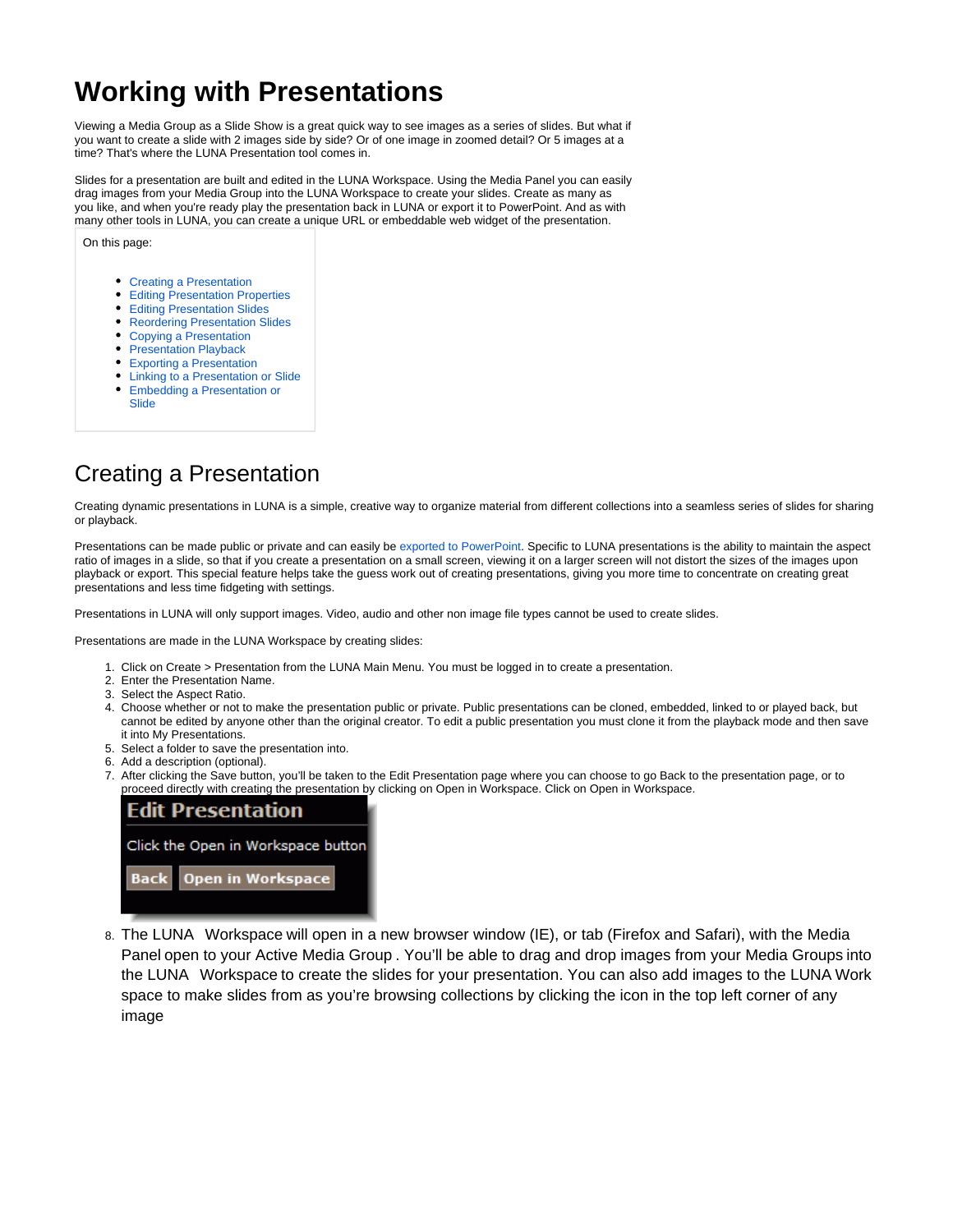# **Working with Presentations**

Viewing a Media Group as a Slide Show is a great quick way to see images as a series of slides. But what if you want to create a slide with 2 images side by side? Or of one image in zoomed detail? Or 5 images at a time? That's where the LUNA Presentation tool comes in.

Slides for a presentation are built and edited in the LUNA Workspace. Using the Media Panel you can easily drag images from your Media Group into the LUNA Workspace to create your slides. Create as many as you like, and when you're ready play the presentation back in LUNA or export it to PowerPoint. And as with many other tools in LUNA, you can create a unique URL or embeddable web widget of the presentation.

On this page:

- [Creating a Presentation](#page-0-0)
- **[Editing Presentation Properties](#page-1-0)**
- [Editing Presentation Slides](#page-2-0)
- [Reordering Presentation Slides](#page-2-1)
- [Copying a Presentation](#page-3-0)
- [Presentation Playback](#page-3-1)
- [Exporting a Presentation](#page-4-0)
- [Linking to a Presentation or Slide](#page-4-1) [Embedding a Presentation or](#page-5-0)
- [Slide](#page-5-0)

## <span id="page-0-0"></span>Creating a Presentation

Creating dynamic presentations in LUNA is a simple, creative way to organize material from different collections into a seamless series of slides for sharing or playback.

Presentations can be made public or private and can easily be [exported to PowerPoint.](https://doc.lunaimaging.com/display/V71D/Exporting+Media+and+Presentations) Specific to LUNA presentations is the ability to maintain the aspect ratio of images in a slide, so that if you create a presentation on a small screen, viewing it on a larger screen will not distort the sizes of the images upon playback or export. This special feature helps take the guess work out of creating presentations, giving you more time to concentrate on creating great presentations and less time fidgeting with settings.

Presentations in LUNA will only support images. Video, audio and other non image file types cannot be used to create slides.

Presentations are made in the LUNA Workspace by creating slides:

- 1. Click on Create > Presentation from the LUNA Main Menu. You must be logged in to create a presentation.
- 2. Enter the Presentation Name.
- 3. Select the Aspect Ratio.
- 4. Choose whether or not to make the presentation public or private. Public presentations can be cloned, embedded, linked to or played back, but cannot be edited by anyone other than the original creator. To edit a public presentation you must clone it from the playback mode and then save it into My Presentations.
- 5. Select a folder to save the presentation into.
- 6. Add a description (optional).
- 7. After clicking the Save button, you'll be taken to the Edit Presentation page where you can choose to go Back to the presentation page, or to proceed directly with creating the presentation by clicking on Open in Workspace. Click on Open in Workspace.



8. The LUNA Workspace will open in a new browser window (IE), or tab (Firefox and Safari), with the Media Panel open to your Active Media Group . You'll be able to drag and drop images from your Media Groups into the LUNA Workspace to create the slides for your presentation. You can also add images to the LUNA Work space to make slides from as you're browsing collections by clicking the icon in the top left corner of any image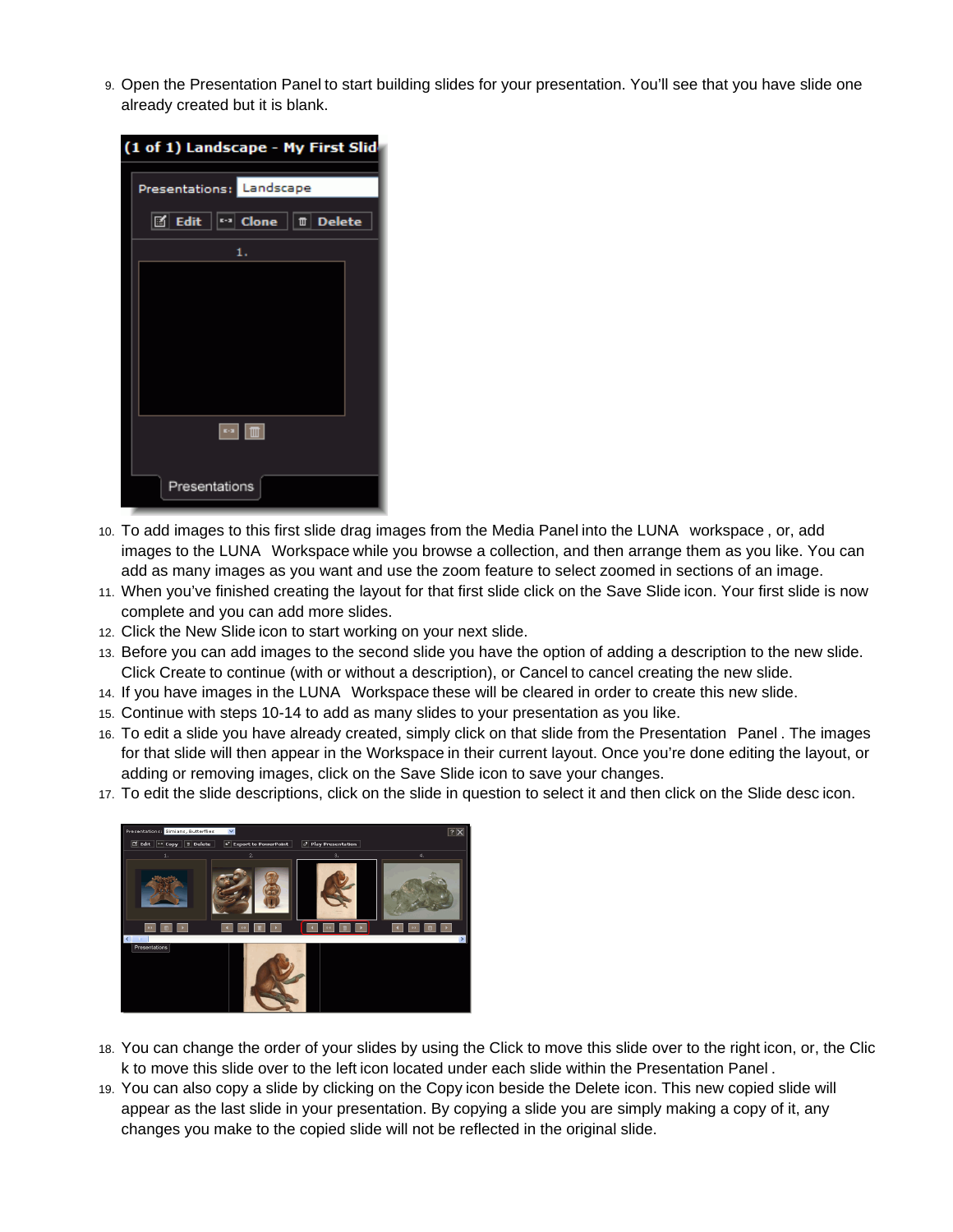9. Open the Presentation Panel to start building slides for your presentation. You'll see that you have slide one already created but it is blank.

| (1 of 1) Landscape - My First Slid                                      |  |  |  |  |  |  |
|-------------------------------------------------------------------------|--|--|--|--|--|--|
| Presentations: Landscape                                                |  |  |  |  |  |  |
| l⊠ Edit<br>││॰॰। Clone │   Ⅲ   Delete                                   |  |  |  |  |  |  |
| 1.                                                                      |  |  |  |  |  |  |
|                                                                         |  |  |  |  |  |  |
|                                                                         |  |  |  |  |  |  |
|                                                                         |  |  |  |  |  |  |
|                                                                         |  |  |  |  |  |  |
|                                                                         |  |  |  |  |  |  |
|                                                                         |  |  |  |  |  |  |
| $\left\lceil \cdot \right\rceil$ $\left\lceil \frac{1}{2} \right\rceil$ |  |  |  |  |  |  |
|                                                                         |  |  |  |  |  |  |
| Presentations                                                           |  |  |  |  |  |  |

- 10. To add images to this first slide drag images from the Media Panel into the LUNA workspace , or, add images to the LUNA Workspace while you browse a collection, and then arrange them as you like. You can add as many images as you want and use the zoom feature to select zoomed in sections of an image.
- 11. When you've finished creating the layout for that first slide click on the Save Slide icon. Your first slide is now complete and you can add more slides.
- 12. Click the New Slide icon to start working on your next slide.
- 13. Before you can add images to the second slide you have the option of adding a description to the new slide. Click Create to continue (with or without a description), or Cancel to cancel creating the new slide.
- 14. If you have images in the LUNA Workspace these will be cleared in order to create this new slide.
- 15. Continue with steps 10-14 to add as many slides to your presentation as you like.
- 16. To edit a slide you have already created, simply click on that slide from the Presentation Panel . The images for that slide will then appear in the Workspace in their current layout. Once you're done editing the layout, or adding or removing images, click on the Save Slide icon to save your changes.
- 17. To edit the slide descriptions, click on the slide in question to select it and then click on the Slide desc icon.



- 18. You can change the order of your slides by using the Click to move this slide over to the right icon, or, the Clic k to move this slide over to the left icon located under each slide within the Presentation Panel .
- <span id="page-1-0"></span>19. You can also copy a slide by clicking on the Copy icon beside the Delete icon. This new copied slide will appear as the last slide in your presentation. By copying a slide you are simply making a copy of it, any changes you make to the copied slide will not be reflected in the original slide.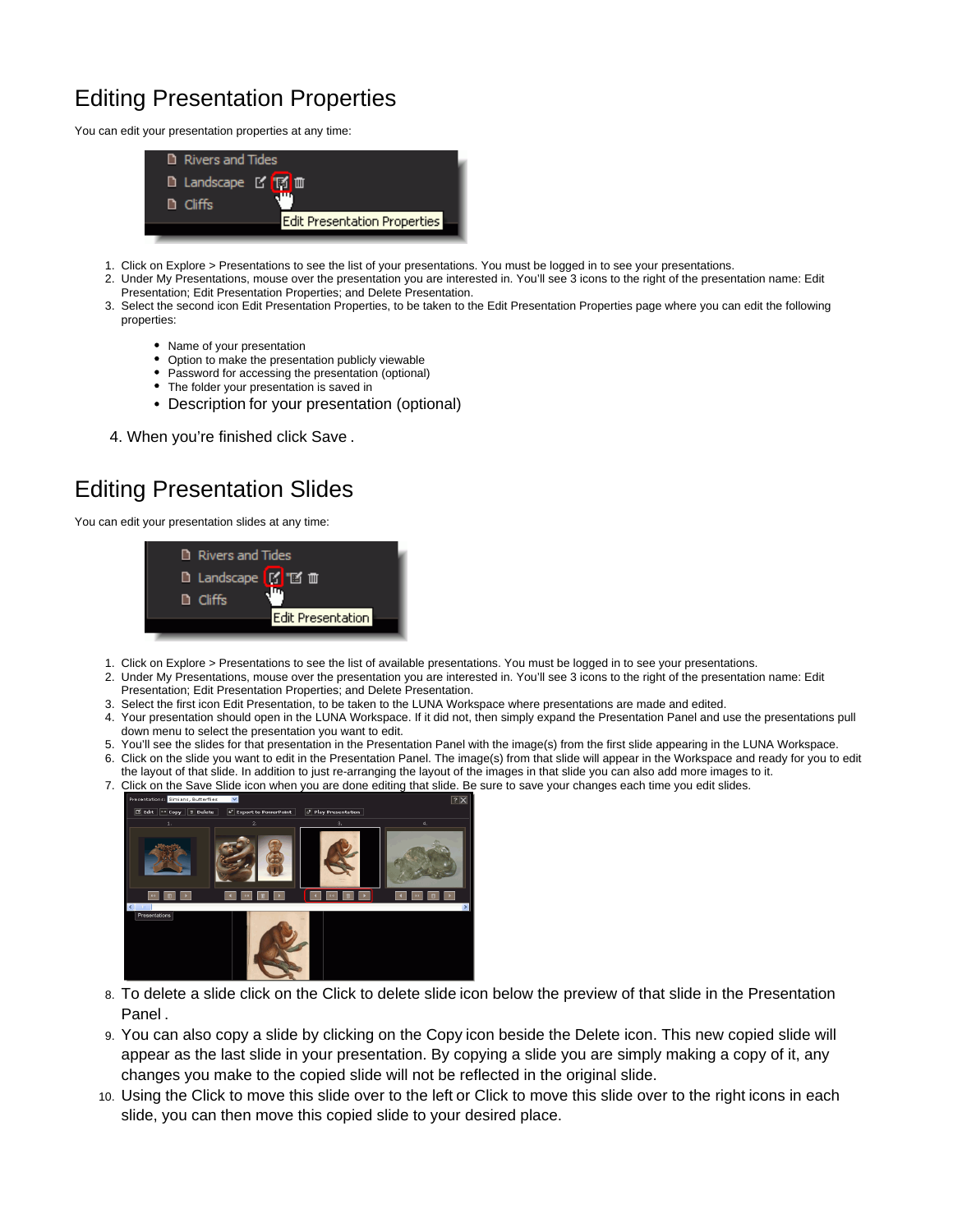# Editing Presentation Properties

You can edit your presentation properties at any time:



- 1. Click on Explore > Presentations to see the list of your presentations. You must be logged in to see your presentations.
- 2. Under My Presentations, mouse over the presentation you are interested in. You'll see 3 icons to the right of the presentation name: Edit Presentation; Edit Presentation Properties; and Delete Presentation.
- 3. Select the second icon Edit Presentation Properties, to be taken to the Edit Presentation Properties page where you can edit the following properties:
	- Name of your presentation
	- Option to make the presentation publicly viewable
	- Password for accessing the presentation (optional)
	- The folder your presentation is saved in
	- Description for your presentation (optional)
- 4. When you're finished click Save .

## <span id="page-2-0"></span>Editing Presentation Slides

You can edit your presentation slides at any time:



- 1. Click on Explore > Presentations to see the list of available presentations. You must be logged in to see your presentations.
- 2. Under My Presentations, mouse over the presentation you are interested in. You'll see 3 icons to the right of the presentation name: Edit Presentation; Edit Presentation Properties; and Delete Presentation.
- 3. Select the first icon Edit Presentation, to be taken to the LUNA Workspace where presentations are made and edited.
- 4. Your presentation should open in the LUNA Workspace. If it did not, then simply expand the Presentation Panel and use the presentations pull down menu to select the presentation you want to edit.
- 5. You'll see the slides for that presentation in the Presentation Panel with the image(s) from the first slide appearing in the LUNA Workspace.
- 6. Click on the slide you want to edit in the Presentation Panel. The image(s) from that slide will appear in the Workspace and ready for you to edit the layout of that slide. In addition to just re-arranging the layout of the images in that slide you can also add more images to it.
- 7. Click on the Save Slide icon when you are done editing that slide. Be sure to save your changes each time you edit slides.



- 8. To delete a slide click on the Click to delete slide icon below the preview of that slide in the Presentation Panel .
- 9. You can also copy a slide by clicking on the Copy icon beside the Delete icon. This new copied slide will appear as the last slide in your presentation. By copying a slide you are simply making a copy of it, any changes you make to the copied slide will not be reflected in the original slide.
- <span id="page-2-1"></span>10. Using the Click to move this slide over to the left or Click to move this slide over to the right icons in each slide, you can then move this copied slide to your desired place.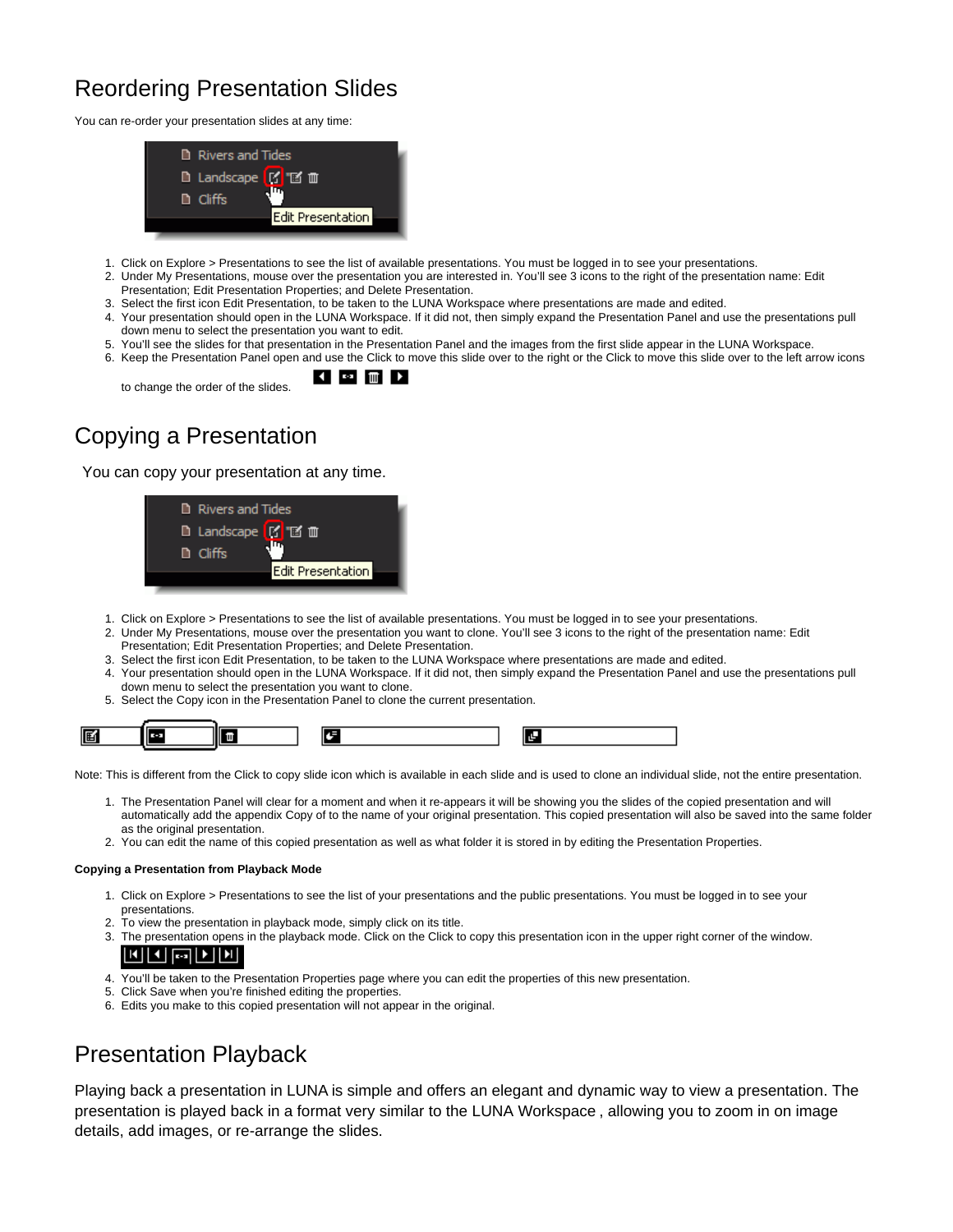## Reordering Presentation Slides

You can re-order your presentation slides at any time:



- 1. Click on Explore > Presentations to see the list of available presentations. You must be logged in to see your presentations.
- 2. Under My Presentations, mouse over the presentation you are interested in. You'll see 3 icons to the right of the presentation name: Edit Presentation; Edit Presentation Properties; and Delete Presentation.
- 
- 3. Select the first icon Edit Presentation, to be taken to the LUNA Workspace where presentations are made and edited. 4. Your presentation should open in the LUNA Workspace. If it did not, then simply expand the Presentation Panel and use the presentations pull down menu to select the presentation you want to edit.
- 5. You'll see the slides for that presentation in the Presentation Panel and the images from the first slide appear in the LUNA Workspace.
- 6. Keep the Presentation Panel open and use the Click to move this slide over to the right or the Click to move this slide over to the left arrow icons ◀ □ 皿 ▶

to change the order of the slides.

# <span id="page-3-0"></span>Copying a Presentation

You can copy your presentation at any time.

| <b>Rivers and Tides</b> |                   |
|-------------------------|-------------------|
| D Landscape [C T2 m     |                   |
| <b>D</b> Cliffs         |                   |
|                         | Edit Presentation |
|                         |                   |

- 1. Click on Explore > Presentations to see the list of available presentations. You must be logged in to see your presentations.
- 2. Under My Presentations, mouse over the presentation you want to clone. You'll see 3 icons to the right of the presentation name: Edit Presentation; Edit Presentation Properties; and Delete Presentation.
- 3. Select the first icon Edit Presentation, to be taken to the LUNA Workspace where presentations are made and edited.
- 4. Your presentation should open in the LUNA Workspace. If it did not, then simply expand the Presentation Panel and use the presentations pull down menu to select the presentation you want to clone.
- 5. Select the Copy icon in the Presentation Panel to clone the current presentation.



Note: This is different from the Click to copy slide icon which is available in each slide and is used to clone an individual slide, not the entire presentation.

- 1. The Presentation Panel will clear for a moment and when it re-appears it will be showing you the slides of the copied presentation and will automatically add the appendix Copy of to the name of your original presentation. This copied presentation will also be saved into the same folder as the original presentation.
- 2. You can edit the name of this copied presentation as well as what folder it is stored in by editing the Presentation Properties.

#### **Copying a Presentation from Playback Mode**

- 1. Click on Explore > Presentations to see the list of your presentations and the public presentations. You must be logged in to see your presentations.
- 2. To view the presentation in playback mode, simply click on its title.
- 3. The presentation opens in the playback mode. Click on the Click to copy this presentation icon in the upper right corner of the window.

#### 배제하세

- 4. You'll be taken to the Presentation Properties page where you can edit the properties of this new presentation.
- 5. Click Save when you're finished editing the properties.
- 6. Edits you make to this copied presentation will not appear in the original.

### <span id="page-3-1"></span>Presentation Playback

Playing back a presentation in LUNA is simple and offers an elegant and dynamic way to view a presentation. The presentation is played back in a format very similar to the LUNA Workspace , allowing you to zoom in on image details, add images, or re-arrange the slides.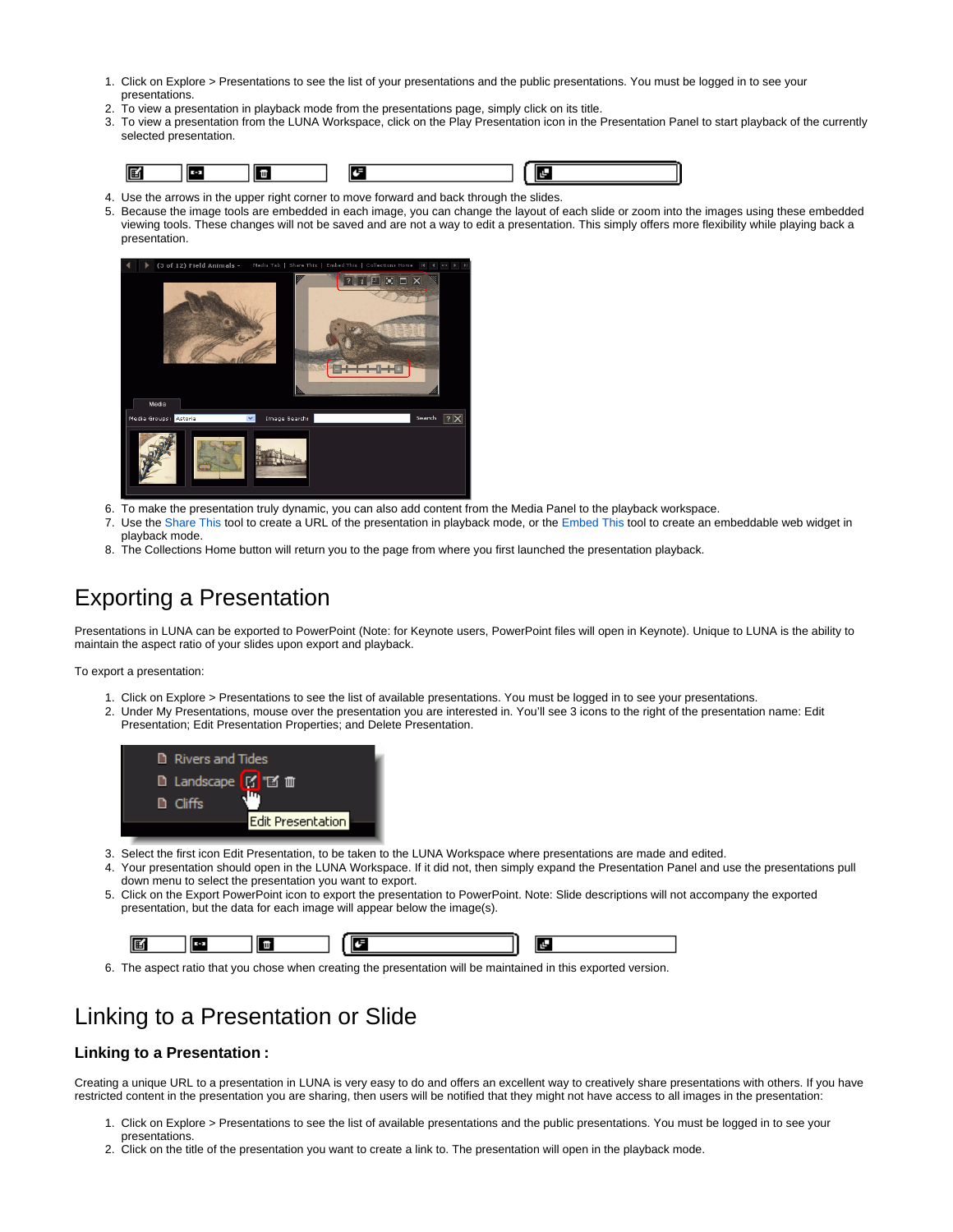- 1. Click on Explore > Presentations to see the list of your presentations and the public presentations. You must be logged in to see your presentations.
- $\mathcal{L}$ To view a presentation in playback mode from the presentations page, simply click on its title.
- 3. To view a presentation from the LUNA Workspace, click on the Play Presentation icon in the Presentation Panel to start playback of the currently selected presentation.

- 4. Use the arrows in the upper right corner to move forward and back through the slides.
- 5. Because the image tools are embedded in each image, you can change the layout of each slide or zoom into the images using these embedded viewing tools. These changes will not be saved and are not a way to edit a presentation. This simply offers more flexibility while playing back a presentation.



- 6. To make the presentation truly dynamic, you can also add content from the Media Panel to the playback workspace.
- 7. Use the [Share This](https://doc.lunaimaging.com/display/V71D/Linking+and+Embedding) tool to create a URL of the presentation in playback mode, or the [Embed This](https://doc.lunaimaging.com/display/V71D/Linking+and+Embedding) tool to create an embeddable web widget in playback mode.
- 8. The Collections Home button will return you to the page from where you first launched the presentation playback.

## <span id="page-4-0"></span>Exporting a Presentation

Presentations in LUNA can be exported to PowerPoint (Note: for Keynote users, PowerPoint files will open in Keynote). Unique to LUNA is the ability to maintain the aspect ratio of your slides upon export and playback.

To export a presentation:

- 1. Click on Explore > Presentations to see the list of available presentations. You must be logged in to see your presentations.
- 2. Under My Presentations, mouse over the presentation you are interested in. You'll see 3 icons to the right of the presentation name: Edit Presentation; Edit Presentation Properties; and Delete Presentation.



- 3. Select the first icon Edit Presentation, to be taken to the LUNA Workspace where presentations are made and edited.
- 4. Your presentation should open in the LUNA Workspace. If it did not, then simply expand the Presentation Panel and use the presentations pull down menu to select the presentation you want to export.
- 5. Click on the Export PowerPoint icon to export the presentation to PowerPoint. Note: Slide descriptions will not accompany the exported presentation, but the data for each image will appear below the image(s).

| 嘔 |  |  |  |  |  |  |  |
|---|--|--|--|--|--|--|--|
|---|--|--|--|--|--|--|--|

6. The aspect ratio that you chose when creating the presentation will be maintained in this exported version.

### <span id="page-4-1"></span>Linking to a Presentation or Slide

#### **Linking to a Presentation :**

Creating a unique URL to a presentation in LUNA is very easy to do and offers an excellent way to creatively share presentations with others. If you have restricted content in the presentation you are sharing, then users will be notified that they might not have access to all images in the presentation:

- 1. Click on Explore > Presentations to see the list of available presentations and the public presentations. You must be logged in to see your presentations.
- 2. Click on the title of the presentation you want to create a link to. The presentation will open in the playback mode.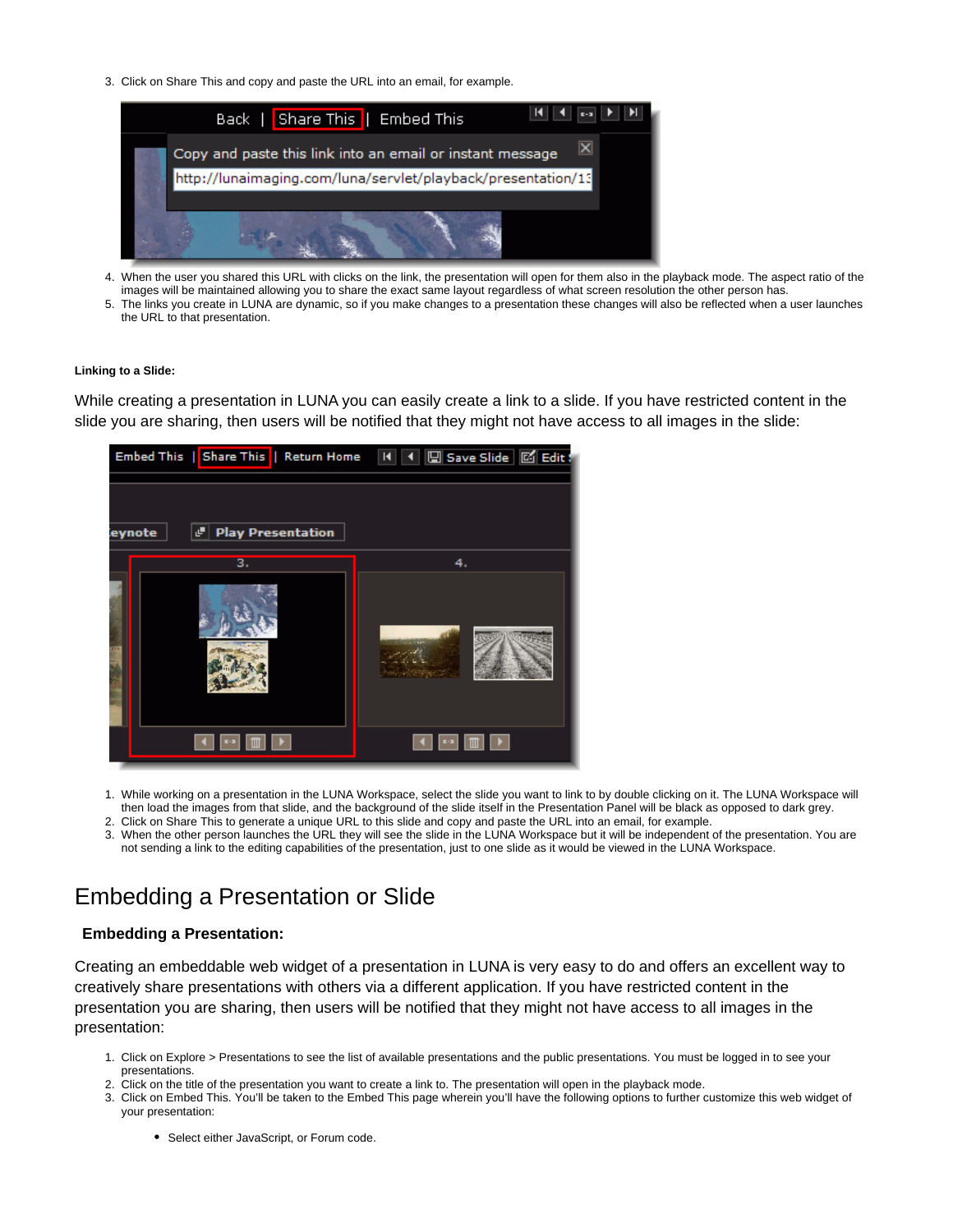3. Click on Share This and copy and paste the URL into an email, for example.



- 4. When the user you shared this URL with clicks on the link, the presentation will open for them also in the playback mode. The aspect ratio of the images will be maintained allowing you to share the exact same layout regardless of what screen resolution the other person has.
- 5. The links you create in LUNA are dynamic, so if you make changes to a presentation these changes will also be reflected when a user launches the URL to that presentation.

#### **Linking to a Slide:**

While creating a presentation in LUNA you can easily create a link to a slide. If you have restricted content in the slide you are sharing, then users will be notified that they might not have access to all images in the slide:



- 1. While working on a presentation in the LUNA Workspace, select the slide you want to link to by double clicking on it. The LUNA Workspace will then load the images from that slide, and the background of the slide itself in the Presentation Panel will be black as opposed to dark grey.
- 2. Click on Share This to generate a unique URL to this slide and copy and paste the URL into an email, for example.
- 3. When the other person launches the URL they will see the slide in the LUNA Workspace but it will be independent of the presentation. You are not sending a link to the editing capabilities of the presentation, just to one slide as it would be viewed in the LUNA Workspace.

### <span id="page-5-0"></span>Embedding a Presentation or Slide

#### **Embedding a Presentation:**

Creating an embeddable web widget of a presentation in LUNA is very easy to do and offers an excellent way to creatively share presentations with others via a different application. If you have restricted content in the presentation you are sharing, then users will be notified that they might not have access to all images in the presentation:

- 1. Click on Explore > Presentations to see the list of available presentations and the public presentations. You must be logged in to see your presentations.
- 2. Click on the title of the presentation you want to create a link to. The presentation will open in the playback mode.
- 3. Click on Embed This. You'll be taken to the Embed This page wherein you'll have the following options to further customize this web widget of your presentation:
	- Select either JavaScript, or Forum code.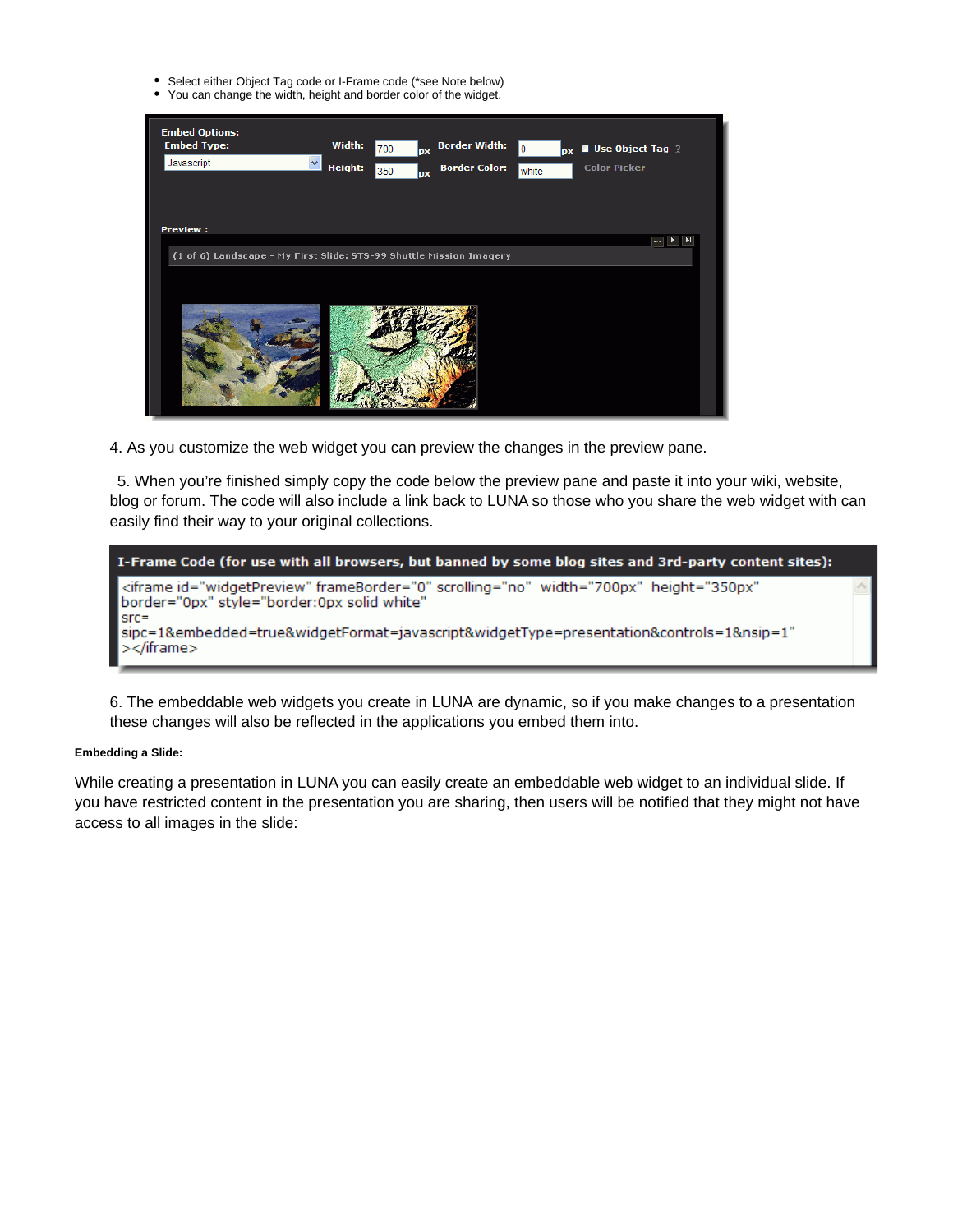- Select either Object Tag code or I-Frame code (\*see Note below)
- You can change the width, height and border color of the widget.

| <b>Embed Options:</b><br><b>Embed Type:</b><br>Javascript                              | Width:<br>Height: | 700<br><b>px</b><br>350<br><b>px</b> | <b>Border Width:</b><br><b>Border Color:</b> | 0<br><b>DX</b><br>white | <b>Use Object Tag</b> $?$<br><b>Color Picker</b> |            |
|----------------------------------------------------------------------------------------|-------------------|--------------------------------------|----------------------------------------------|-------------------------|--------------------------------------------------|------------|
| <b>Preview:</b><br>(1 of 6) Landscape - My First Slide: STS-99 Shuttle Mission Imagery |                   |                                      |                                              |                         |                                                  | sa∥ k<br>E |

4. As you customize the web widget you can preview the changes in the preview pane.

5. When you're finished simply copy the code below the preview pane and paste it into your wiki, website, blog or forum. The code will also include a link back to LUNA so those who you share the web widget with can easily find their way to your original collections.



6. The embeddable web widgets you create in LUNA are dynamic, so if you make changes to a presentation these changes will also be reflected in the applications you embed them into.

#### **Embedding a Slide:**

While creating a presentation in LUNA you can easily create an embeddable web widget to an individual slide. If you have restricted content in the presentation you are sharing, then users will be notified that they might not have access to all images in the slide: